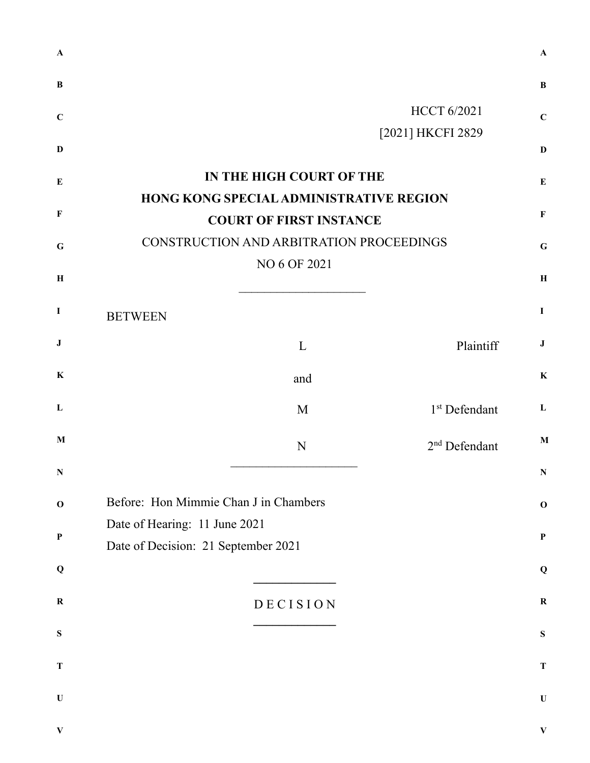| $\mathbf{A}$ |                                                                           | A            |
|--------------|---------------------------------------------------------------------------|--------------|
| $\bf{B}$     |                                                                           | B            |
| $\mathbf C$  | <b>HCCT 6/2021</b>                                                        | $\mathbf C$  |
| $\mathbf{D}$ | [2021] HKCFI 2829                                                         | D            |
| ${\bf E}$    | IN THE HIGH COURT OF THE                                                  | $\bf{E}$     |
| $\mathbf F$  | HONG KONG SPECIAL ADMINISTRATIVE REGION<br><b>COURT OF FIRST INSTANCE</b> | F            |
| $\mathbf G$  | CONSTRUCTION AND ARBITRATION PROCEEDINGS                                  | $\mathbf G$  |
|              | NO 6 OF 2021                                                              |              |
| $\, {\bf H}$ |                                                                           | $\bf H$      |
| $\mathbf I$  | <b>BETWEEN</b>                                                            | I            |
| ${\bf J}$    | Plaintiff<br>L                                                            | J            |
| $\bf K$      | and                                                                       | $\bf K$      |
| $\mathbf{L}$ | 1 <sup>st</sup> Defendant<br>M                                            | L            |
| M            | 2 <sup>nd</sup> Defendant<br>N                                            | $\mathbf{M}$ |
| N            |                                                                           | N            |
| $\mathbf 0$  | Before: Hon Mimmie Chan J in Chambers                                     | $\mathbf 0$  |
| $\mathbf P$  | Date of Hearing: 11 June 2021                                             | P            |
|              | Date of Decision: 21 September 2021                                       |              |
| Q            |                                                                           | Q            |
| $\mathbf R$  | DECISION                                                                  | $\bf R$      |
| ${\bf S}$    |                                                                           | ${\bf S}$    |
| $\mathbf T$  |                                                                           | $\mathbf T$  |
| $\mathbf U$  |                                                                           | $\mathbf U$  |
| $\mathbf{V}$ |                                                                           | $\mathbf{V}$ |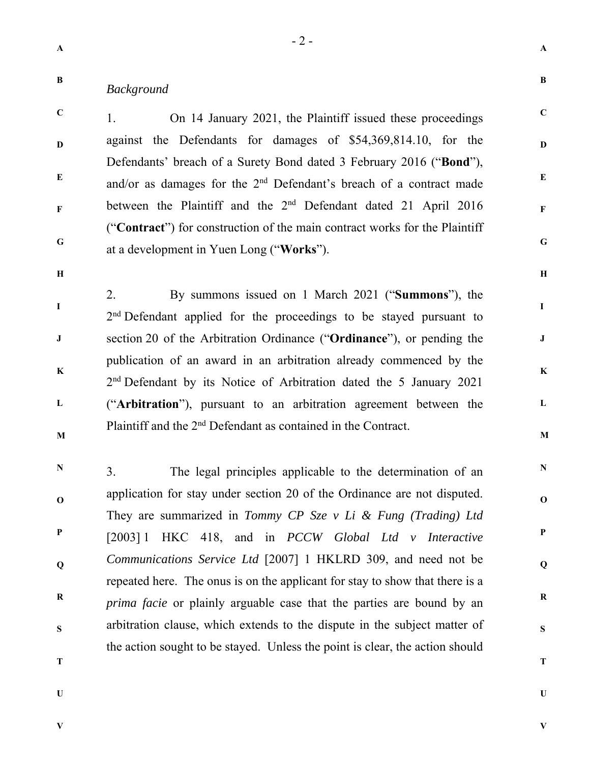**C** 

**D** 

**E** 

**F** 

**G** 

## **B**  *Background*

**C D E F G**  1. On 14 January 2021, the Plaintiff issued these proceedings against the Defendants for damages of \$54,369,814.10, for the Defendants' breach of a Surety Bond dated 3 February 2016 ("**Bond**"), and/or as damages for the 2nd Defendant's breach of a contract made between the Plaintiff and the 2<sup>nd</sup> Defendant dated 21 April 2016 ("**Contract**") for construction of the main contract works for the Plaintiff at a development in Yuen Long ("**Works**").

**H** 

**I** 

**J** 

**K** 

**L** 

**M** 

**H** 

**I** 

**J** 

**K** 

**L** 

**M** 

**N** 

**O** 

**P** 

**Q** 

**R** 

**S** 

**T** 

**U** 

2. By summons issued on 1 March 2021 ("**Summons**"), the 2<sup>nd</sup> Defendant applied for the proceedings to be stayed pursuant to section 20 of the Arbitration Ordinance ("**Ordinance**"), or pending the publication of an award in an arbitration already commenced by the 2<sup>nd</sup> Defendant by its Notice of Arbitration dated the 5 January 2021 ("**Arbitration**"), pursuant to an arbitration agreement between the Plaintiff and the 2nd Defendant as contained in the Contract.

**N O P Q R S**  3. The legal principles applicable to the determination of an application for stay under section 20 of the Ordinance are not disputed. They are summarized in *Tommy CP Sze v Li & Fung (Trading) Ltd* [2003] 1 HKC 418, and in *PCCW Global Ltd v Interactive Communications Service Ltd* [2007] 1 HKLRD 309, and need not be repeated here. The onus is on the applicant for stay to show that there is a *prima facie* or plainly arguable case that the parties are bound by an arbitration clause, which extends to the dispute in the subject matter of the action sought to be stayed. Unless the point is clear, the action should

- **T**
- **U**

**V**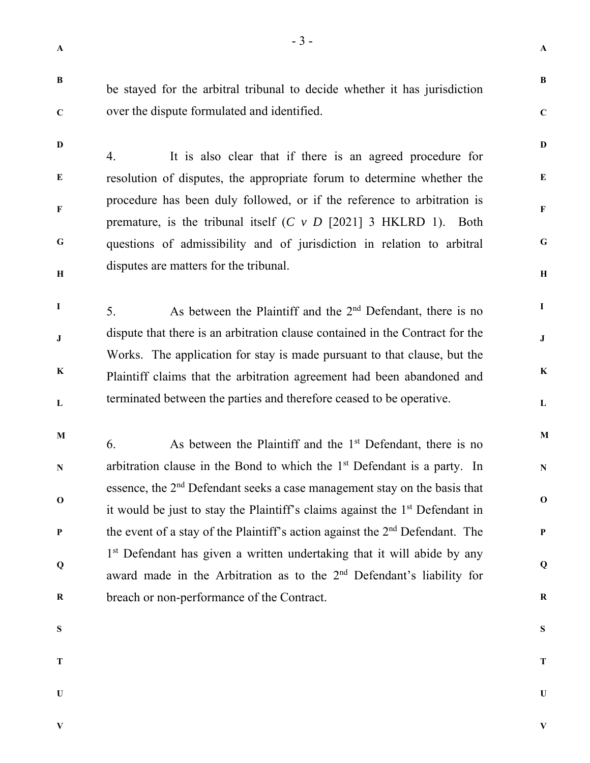**A** 

**B** 

**C** 

**D** 

**E** 

**F** 

**G** 

**H** 

**I** 

**J** 

**K** 

**L** 

**M** 

**N** 

**O** 

**P** 

**Q** 

**R** 

**S** 

**C** 

**D** 

be stayed for the arbitral tribunal to decide whether it has jurisdiction over the dispute formulated and identified.

**E F G H**  4. It is also clear that if there is an agreed procedure for resolution of disputes, the appropriate forum to determine whether the procedure has been duly followed, or if the reference to arbitration is premature, is the tribunal itself (*C v D* [2021] 3 HKLRD 1). Both questions of admissibility and of jurisdiction in relation to arbitral disputes are matters for the tribunal.

**I J K L**  5. As between the Plaintiff and the  $2<sup>nd</sup>$  Defendant, there is no dispute that there is an arbitration clause contained in the Contract for the Works. The application for stay is made pursuant to that clause, but the Plaintiff claims that the arbitration agreement had been abandoned and terminated between the parties and therefore ceased to be operative.

**M N O P Q R**  6. As between the Plaintiff and the  $1<sup>st</sup>$  Defendant, there is no arbitration clause in the Bond to which the  $1<sup>st</sup>$  Defendant is a party. In essence, the 2nd Defendant seeks a case management stay on the basis that it would be just to stay the Plaintiff's claims against the 1st Defendant in the event of a stay of the Plaintiff's action against the  $2<sup>nd</sup>$  Defendant. The 1<sup>st</sup> Defendant has given a written undertaking that it will abide by any award made in the Arbitration as to the 2nd Defendant's liability for breach or non-performance of the Contract.

- **S**
- **T**

**U** 

**T** 

**U**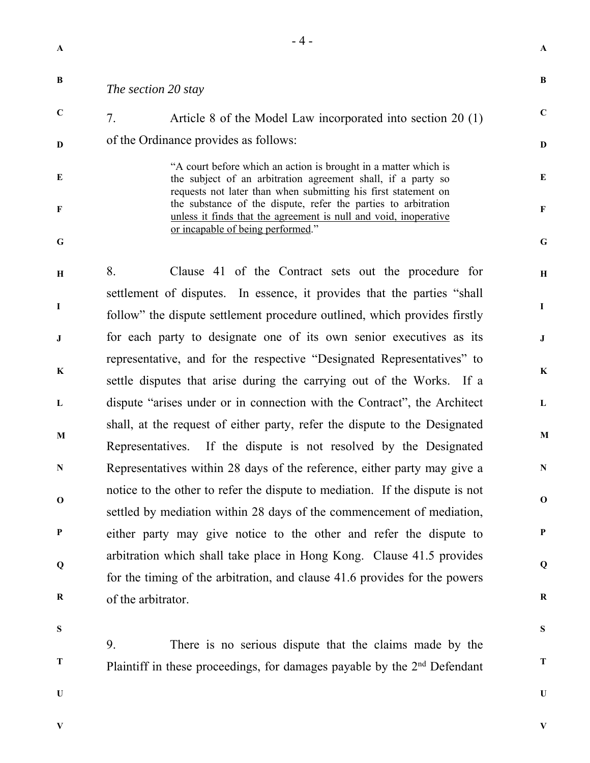**B C D E F G H I J K L M N O P Q R**  *The section 20 stay*  7. Article 8 of the Model Law incorporated into section 20 (1) of the Ordinance provides as follows: "A court before which an action is brought in a matter which is the subject of an arbitration agreement shall, if a party so requests not later than when submitting his first statement on the substance of the dispute, refer the parties to arbitration unless it finds that the agreement is null and void, inoperative or incapable of being performed." 8. Clause 41 of the Contract sets out the procedure for settlement of disputes. In essence, it provides that the parties "shall follow" the dispute settlement procedure outlined, which provides firstly for each party to designate one of its own senior executives as its representative, and for the respective "Designated Representatives" to settle disputes that arise during the carrying out of the Works. If a dispute "arises under or in connection with the Contract", the Architect shall, at the request of either party, refer the dispute to the Designated Representatives. If the dispute is not resolved by the Designated Representatives within 28 days of the reference, either party may give a notice to the other to refer the dispute to mediation. If the dispute is not settled by mediation within 28 days of the commencement of mediation, either party may give notice to the other and refer the dispute to arbitration which shall take place in Hong Kong. Clause 41.5 provides for the timing of the arbitration, and clause 41.6 provides for the powers of the arbitrator.

 $-4 -$ 

**S** 

**T** 

9. There is no serious dispute that the claims made by the Plaintiff in these proceedings, for damages payable by the 2<sup>nd</sup> Defendant

**U** 

**V** 

**V** 

**A** 

**B** 

**C** 

**D** 

**E** 

**F** 

**G** 

**H** 

**I** 

**J** 

**K** 

**L** 

**M** 

**N** 

**O** 

**P** 

**Q** 

**R** 

**S** 

**T**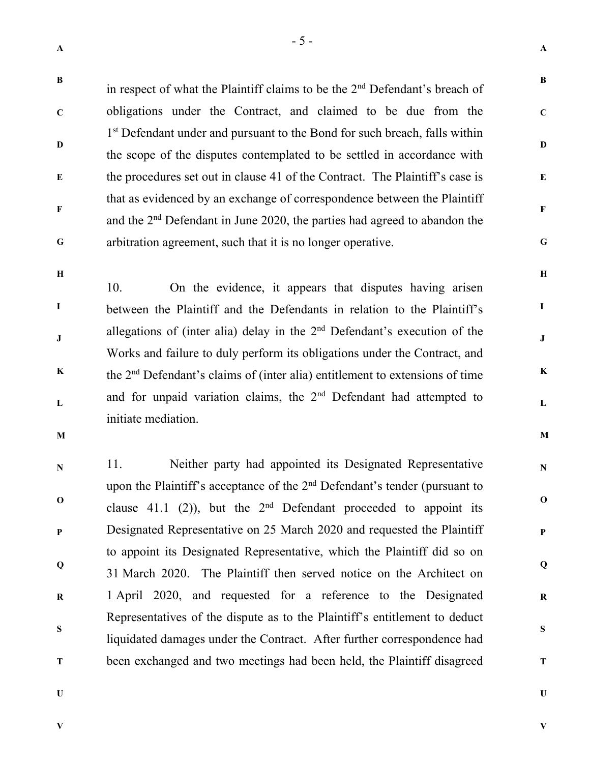**C** 

**D** 

**E** 

**F** 

**A** 

**B** 

**C** 

**D** 

**E** 

**F** 

**G** 

**H** 

**I** 

**J** 

**K** 

**L** 

**M** 

**N** 

**O** 

**P** 

**Q** 

**R** 

**S** 

**T** 

in respect of what the Plaintiff claims to be the 2<sup>nd</sup> Defendant's breach of obligations under the Contract, and claimed to be due from the 1<sup>st</sup> Defendant under and pursuant to the Bond for such breach, falls within the scope of the disputes contemplated to be settled in accordance with the procedures set out in clause 41 of the Contract. The Plaintiff's case is that as evidenced by an exchange of correspondence between the Plaintiff and the 2nd Defendant in June 2020, the parties had agreed to abandon the arbitration agreement, such that it is no longer operative.

**G H** 

**I** 

**J** 

**K** 

**L** 

10. On the evidence, it appears that disputes having arisen between the Plaintiff and the Defendants in relation to the Plaintiff's allegations of (inter alia) delay in the 2<sup>nd</sup> Defendant's execution of the Works and failure to duly perform its obligations under the Contract, and the 2nd Defendant's claims of (inter alia) entitlement to extensions of time and for unpaid variation claims, the 2<sup>nd</sup> Defendant had attempted to initiate mediation.

**M** 

**N O P Q R S T**  11. Neither party had appointed its Designated Representative upon the Plaintiff's acceptance of the  $2<sup>nd</sup>$  Defendant's tender (pursuant to clause 41.1 (2)), but the  $2<sup>nd</sup>$  Defendant proceeded to appoint its Designated Representative on 25 March 2020 and requested the Plaintiff to appoint its Designated Representative, which the Plaintiff did so on 31 March 2020. The Plaintiff then served notice on the Architect on 1 April 2020, and requested for a reference to the Designated Representatives of the dispute as to the Plaintiff's entitlement to deduct liquidated damages under the Contract. After further correspondence had been exchanged and two meetings had been held, the Plaintiff disagreed

**U** 

**U V**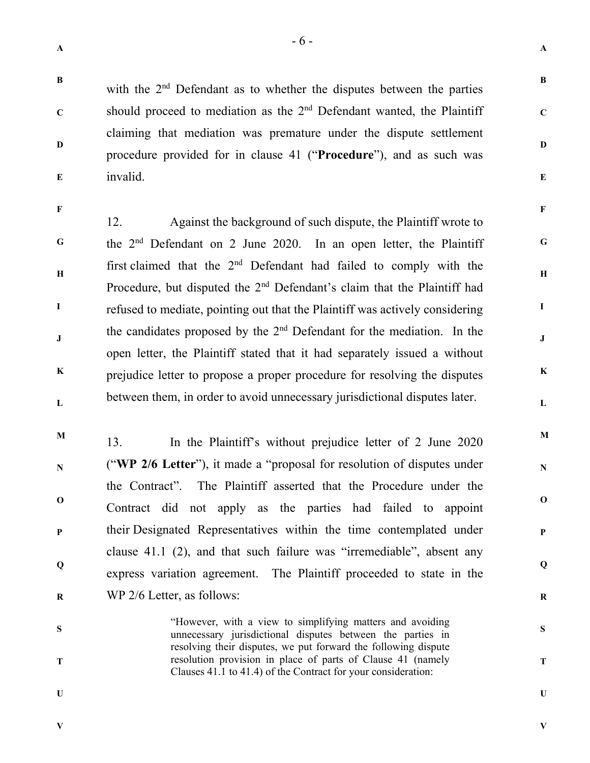**C** 

**D** 

**A** 

**B** 

**C** 

**D** 

**E** 

**F** 

**G** 

**H** 

**I** 

**J** 

**K** 

**L** 

**M** 

**N** 

**O** 

**P** 

**Q** 

**R** 

**S** 

**T** 

**U** 

with the 2<sup>nd</sup> Defendant as to whether the disputes between the parties should proceed to mediation as the  $2<sup>nd</sup>$  Defendant wanted, the Plaintiff claiming that mediation was premature under the dispute settlement procedure provided for in clause 41 ("**Procedure**"), and as such was invalid.

**F** 

**I** 

**J** 

**E** 

**G H K L**  12. Against the background of such dispute, the Plaintiff wrote to the 2nd Defendant on 2 June 2020. In an open letter, the Plaintiff first claimed that the 2nd Defendant had failed to comply with the Procedure, but disputed the 2<sup>nd</sup> Defendant's claim that the Plaintiff had refused to mediate, pointing out that the Plaintiff was actively considering the candidates proposed by the  $2<sup>nd</sup>$  Defendant for the mediation. In the open letter, the Plaintiff stated that it had separately issued a without prejudice letter to propose a proper procedure for resolving the disputes between them, in order to avoid unnecessary jurisdictional disputes later.

**M N O P Q R**  13. In the Plaintiff's without prejudice letter of 2 June 2020 ("**WP 2/6 Letter**"), it made a "proposal for resolution of disputes under the Contract". The Plaintiff asserted that the Procedure under the Contract did not apply as the parties had failed to appoint their Designated Representatives within the time contemplated under clause 41.1 (2), and that such failure was "irremediable", absent any express variation agreement. The Plaintiff proceeded to state in the WP 2/6 Letter, as follows:

> "However, with a view to simplifying matters and avoiding unnecessary jurisdictional disputes between the parties in resolving their disputes, we put forward the following dispute resolution provision in place of parts of Clause 41 (namely Clauses 41.1 to 41.4) of the Contract for your consideration:

**S** 

**T** 

**U** 

**V**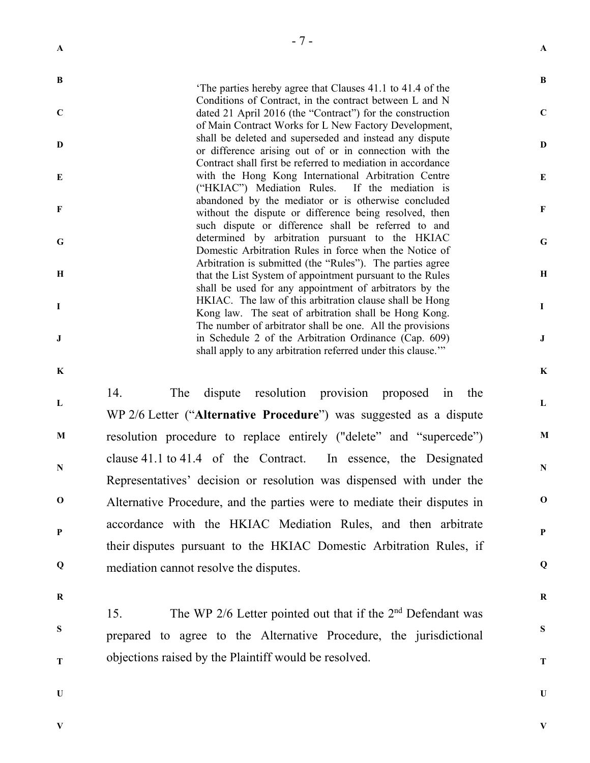|              | $-7-$                                                                                                                                                                              |              |
|--------------|------------------------------------------------------------------------------------------------------------------------------------------------------------------------------------|--------------|
| $\mathbf{A}$ |                                                                                                                                                                                    | $\mathbf{A}$ |
| B            | The parties hereby agree that Clauses 41.1 to 41.4 of the<br>Conditions of Contract, in the contract between L and N                                                               | B            |
| $\mathbf C$  | dated 21 April 2016 (the "Contract") for the construction<br>of Main Contract Works for L New Factory Development,                                                                 | $\mathbf C$  |
| D            | shall be deleted and superseded and instead any dispute<br>or difference arising out of or in connection with the<br>Contract shall first be referred to mediation in accordance   | D            |
| E            | with the Hong Kong International Arbitration Centre<br>("HKIAC") Mediation Rules.<br>If the mediation is                                                                           | E            |
| F            | abandoned by the mediator or is otherwise concluded<br>without the dispute or difference being resolved, then<br>such dispute or difference shall be referred to and               | $\mathbf F$  |
| G            | determined by arbitration pursuant to the HKIAC<br>Domestic Arbitration Rules in force when the Notice of                                                                          | $\mathbf G$  |
| $\mathbf H$  | Arbitration is submitted (the "Rules"). The parties agree<br>that the List System of appointment pursuant to the Rules<br>shall be used for any appointment of arbitrators by the  | Н            |
| 1            | HKIAC. The law of this arbitration clause shall be Hong<br>Kong law. The seat of arbitration shall be Hong Kong.                                                                   | $\mathbf I$  |
| J            | The number of arbitrator shall be one. All the provisions<br>in Schedule 2 of the Arbitration Ordinance (Cap. 609)<br>shall apply to any arbitration referred under this clause."" | $\mathbf J$  |
| K            |                                                                                                                                                                                    | $\bf K$      |
| L            | 14.<br>The<br>dispute resolution provision proposed in<br>the<br>WP 2/6 Letter ("Alternative Procedure") was suggested as a dispute                                                | $\mathbf{L}$ |
| M            | resolution procedure to replace entirely ("delete" and "supercede")                                                                                                                | $\mathbf{M}$ |
| N            | clause $41.1$ to $41.4$ of the Contract.<br>In essence, the Designated<br>Representatives' decision or resolution was dispensed with under the                                     | N            |
| $\mathbf 0$  | Alternative Procedure, and the parties were to mediate their disputes in                                                                                                           | $\mathbf 0$  |
| $\mathbf{P}$ | accordance with the HKIAC Mediation Rules, and then arbitrate<br>their disputes pursuant to the HKIAC Domestic Arbitration Rules, if                                               | ${\bf P}$    |
| Q            | mediation cannot resolve the disputes.                                                                                                                                             | Q            |
| $\bf R$      |                                                                                                                                                                                    | ${\bf R}$    |
| S            | The WP 2/6 Letter pointed out that if the $2nd$ Defendant was<br>15.<br>prepared to agree to the Alternative Procedure, the jurisdictional                                         | S            |
| T            | objections raised by the Plaintiff would be resolved.                                                                                                                              | T            |
| U            |                                                                                                                                                                                    | U            |

**V**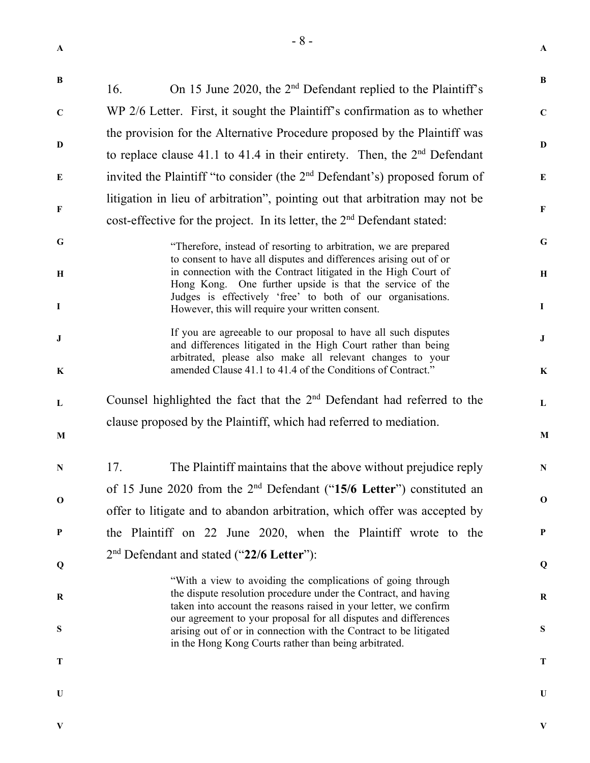| $\mathbf{A}$     |                                                                                                                                                                                                                                                                       | ${\bf A}$                   |
|------------------|-----------------------------------------------------------------------------------------------------------------------------------------------------------------------------------------------------------------------------------------------------------------------|-----------------------------|
| $\bf{B}$         | On 15 June 2020, the 2 <sup>nd</sup> Defendant replied to the Plaintiff's<br>16.                                                                                                                                                                                      | B                           |
| $\mathbf C$      | WP 2/6 Letter. First, it sought the Plaintiff's confirmation as to whether                                                                                                                                                                                            | $\mathbf C$                 |
| D                | the provision for the Alternative Procedure proposed by the Plaintiff was<br>to replace clause 41.1 to 41.4 in their entirety. Then, the $2nd$ Defendant                                                                                                              | $\mathbf{D}$                |
| E                | invited the Plaintiff "to consider (the 2 <sup>nd</sup> Defendant's) proposed forum of                                                                                                                                                                                | E                           |
| $\mathbf F$      | litigation in lieu of arbitration", pointing out that arbitration may not be<br>cost-effective for the project. In its letter, the 2 <sup>nd</sup> Defendant stated:                                                                                                  |                             |
| $\mathbf G$<br>H | "Therefore, instead of resorting to arbitration, we are prepared<br>to consent to have all disputes and differences arising out of or<br>in connection with the Contract litigated in the High Court of                                                               | $\mathbf G$<br>$\, {\bf H}$ |
| $\bf{I}$         | Hong Kong. One further upside is that the service of the<br>Judges is effectively 'free' to both of our organisations.<br>However, this will require your written consent.                                                                                            | $\mathbf I$                 |
| ${\bf J}$        | If you are agreeable to our proposal to have all such disputes<br>and differences litigated in the High Court rather than being<br>arbitrated, please also make all relevant changes to your                                                                          | $\bf J$                     |
| $\mathbf K$      | amended Clause 41.1 to 41.4 of the Conditions of Contract."                                                                                                                                                                                                           | $\bf K$                     |
| L                | Counsel highlighted the fact that the $2nd$ Defendant had referred to the                                                                                                                                                                                             |                             |
| M                | clause proposed by the Plaintiff, which had referred to mediation.                                                                                                                                                                                                    | M                           |
| N                | 17.<br>The Plaintiff maintains that the above without prejudice reply                                                                                                                                                                                                 | $\mathbf N$                 |
| $\mathbf 0$      | of 15 June 2020 from the $2nd$ Defendant ("15/6 Letter") constituted an<br>offer to litigate and to abandon arbitration, which offer was accepted by                                                                                                                  | $\mathbf 0$                 |
| $\mathbf P$      | the Plaintiff on 22 June 2020, when the Plaintiff wrote to the                                                                                                                                                                                                        | P                           |
| Q                | 2 <sup>nd</sup> Defendant and stated ("22/6 Letter"):                                                                                                                                                                                                                 | Q                           |
| $\bf R$          | "With a view to avoiding the complications of going through<br>the dispute resolution procedure under the Contract, and having<br>taken into account the reasons raised in your letter, we confirm<br>our agreement to your proposal for all disputes and differences | R                           |
| ${\bf S}$        | arising out of or in connection with the Contract to be litigated<br>in the Hong Kong Courts rather than being arbitrated.                                                                                                                                            | S                           |
| Т                |                                                                                                                                                                                                                                                                       | T                           |
| $\mathbf U$      |                                                                                                                                                                                                                                                                       | U                           |
| V                |                                                                                                                                                                                                                                                                       | V                           |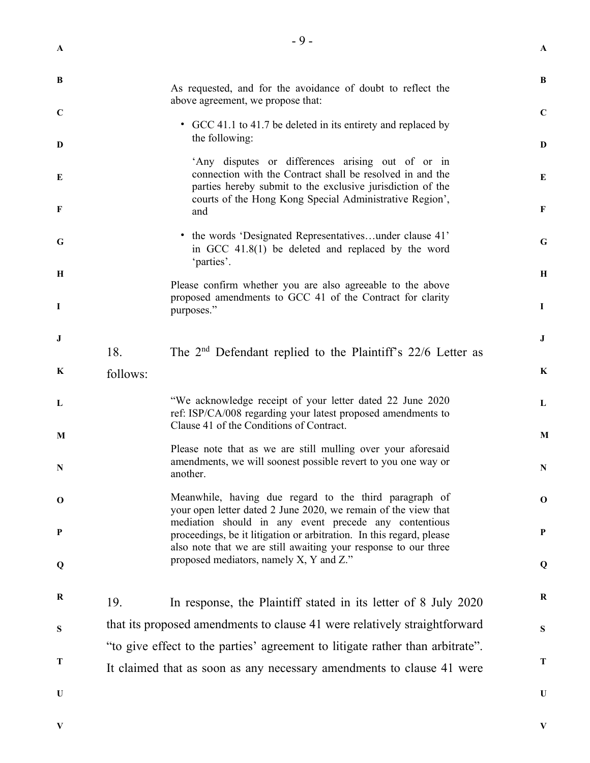| $\mathbf{A}$            |          | $-9-$                                                                                                                                                                                                                                   | $\mathbf{A}$     |
|-------------------------|----------|-----------------------------------------------------------------------------------------------------------------------------------------------------------------------------------------------------------------------------------------|------------------|
| B                       |          | As requested, and for the avoidance of doubt to reflect the                                                                                                                                                                             | B                |
| $\mathbf C$             |          | above agreement, we propose that:<br>• GCC 41.1 to 41.7 be deleted in its entirety and replaced by                                                                                                                                      | $\mathbf C$      |
| D                       |          | the following:                                                                                                                                                                                                                          | D                |
| E<br>F                  |          | 'Any disputes or differences arising out of or in<br>connection with the Contract shall be resolved in and the<br>parties hereby submit to the exclusive jurisdiction of the<br>courts of the Hong Kong Special Administrative Region', | E<br>$\mathbf F$ |
| G                       |          | and<br>• the words 'Designated Representativesunder clause 41'<br>in GCC 41.8(1) be deleted and replaced by the word<br>'parties'.                                                                                                      | G                |
| $\mathbf H$<br>$\bf{I}$ |          | Please confirm whether you are also agreeable to the above<br>proposed amendments to GCC 41 of the Contract for clarity<br>purposes."                                                                                                   | Н<br>$\mathbf I$ |
| J                       | 18.      | The $2nd$ Defendant replied to the Plaintiff's 22/6 Letter as                                                                                                                                                                           | $\bf J$          |
| $\bf K$                 | follows: |                                                                                                                                                                                                                                         | $\bf K$          |
| L                       |          | "We acknowledge receipt of your letter dated 22 June 2020<br>ref: ISP/CA/008 regarding your latest proposed amendments to<br>Clause 41 of the Conditions of Contract.                                                                   | L                |
| M<br>N                  |          | Please note that as we are still mulling over your aforesaid<br>amendments, we will soonest possible revert to you one way or<br>another.                                                                                               | M<br>N           |
| $\bf{0}$                |          | Meanwhile, having due regard to the third paragraph of<br>your open letter dated 2 June 2020, we remain of the view that                                                                                                                | $\mathbf{o}$     |
| $\bf P$                 |          | mediation should in any event precede any contentious<br>proceedings, be it litigation or arbitration. In this regard, please<br>also note that we are still awaiting your response to our three                                        | $\mathbf{P}$     |
| Q                       |          | proposed mediators, namely X, Y and Z."                                                                                                                                                                                                 | Q                |
| $\bf R$                 | 19.      | In response, the Plaintiff stated in its letter of 8 July 2020                                                                                                                                                                          | $\bf R$          |
| S                       |          | that its proposed amendments to clause 41 were relatively straightforward<br>"to give effect to the parties' agreement to litigate rather than arbitrate".                                                                              | S                |
| T                       |          | It claimed that as soon as any necessary amendments to clause 41 were                                                                                                                                                                   | Т                |
| $\mathbf U$             |          |                                                                                                                                                                                                                                         | U                |

**V**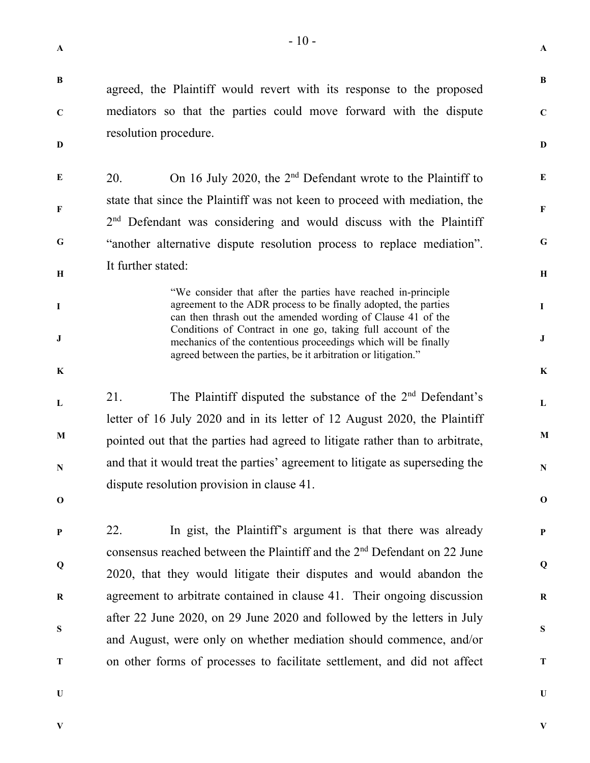resolution procedure.

**B** 

**C** 

**D** 

**E** 

**F** 

**G** 

**H** 

**I** 

**J** 

**K** 

**L** 

**M** 

**N** 

**O** 

**P** 

**Q** 

**R** 

**S** 

**T** 

**U** 

agreed, the Plaintiff would revert with its response to the proposed

mediators so that the parties could move forward with the dispute

**A** 

**B** 

**C** 

**D** 

**E** 

**F** 

**G** 

**H** 

**I** 

**J** 

**K** 

**L** 

**M** 

**N** 

**O** 

**P** 

**Q** 

**R** 

**S** 

**T** 

**U** 

20. On 16 July 2020, the 2<sup>nd</sup> Defendant wrote to the Plaintiff to state that since the Plaintiff was not keen to proceed with mediation, the 2<sup>nd</sup> Defendant was considering and would discuss with the Plaintiff "another alternative dispute resolution process to replace mediation". It further stated: "We consider that after the parties have reached in-principle agreement to the ADR process to be finally adopted, the parties can then thrash out the amended wording of Clause 41 of the Conditions of Contract in one go, taking full account of the mechanics of the contentious proceedings which will be finally agreed between the parties, be it arbitration or litigation." 21. The Plaintiff disputed the substance of the 2<sup>nd</sup> Defendant's letter of 16 July 2020 and in its letter of 12 August 2020, the Plaintiff pointed out that the parties had agreed to litigate rather than to arbitrate, and that it would treat the parties' agreement to litigate as superseding the dispute resolution provision in clause 41. 22. In gist, the Plaintiff's argument is that there was already consensus reached between the Plaintiff and the 2nd Defendant on 22 June 2020, that they would litigate their disputes and would abandon the agreement to arbitrate contained in clause 41. Their ongoing discussion after 22 June 2020, on 29 June 2020 and followed by the letters in July and August, were only on whether mediation should commence, and/or on other forms of processes to facilitate settlement, and did not affect

**V**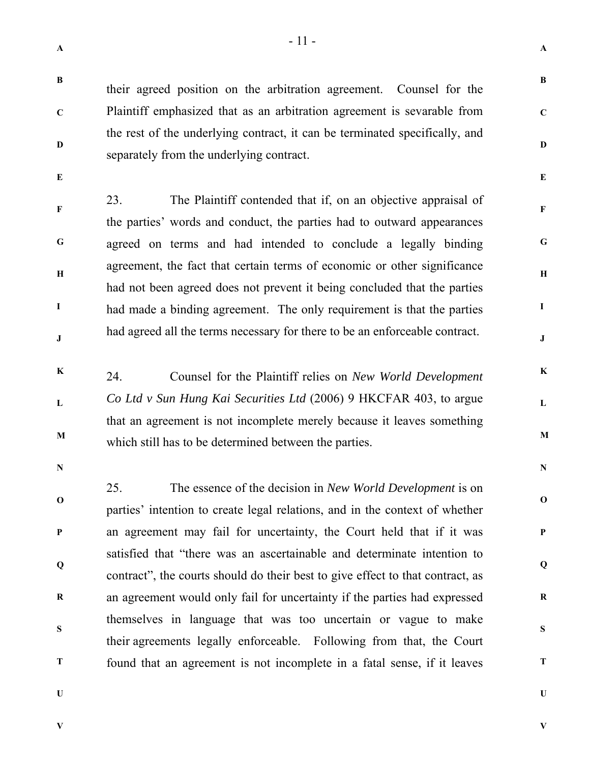**A** 

**B** 

**C** 

**D** 

**E** 

**F** 

**G** 

**H** 

**I** 

**J** 

**K** 

**L** 

**M** 

**N** 

**O** 

**P** 

**Q** 

**R** 

**S** 

**T** 

**C** 

their agreed position on the arbitration agreement. Counsel for the Plaintiff emphasized that as an arbitration agreement is sevarable from the rest of the underlying contract, it can be terminated specifically, and separately from the underlying contract.

**E** 

**F** 

**G** 

**H** 

**I** 

**J** 

**D** 

23. The Plaintiff contended that if, on an objective appraisal of the parties' words and conduct, the parties had to outward appearances agreed on terms and had intended to conclude a legally binding agreement, the fact that certain terms of economic or other significance had not been agreed does not prevent it being concluded that the parties had made a binding agreement. The only requirement is that the parties had agreed all the terms necessary for there to be an enforceable contract.

- **K L M**  24. Counsel for the Plaintiff relies on *New World Development Co Ltd v Sun Hung Kai Securities Ltd* (2006) 9 HKCFAR 403, to argue that an agreement is not incomplete merely because it leaves something which still has to be determined between the parties.
- **N**

**P** 

**O Q R T**  25. The essence of the decision in *New World Development* is on parties' intention to create legal relations, and in the context of whether an agreement may fail for uncertainty, the Court held that if it was satisfied that "there was an ascertainable and determinate intention to contract", the courts should do their best to give effect to that contract, as an agreement would only fail for uncertainty if the parties had expressed themselves in language that was too uncertain or vague to make their agreements legally enforceable. Following from that, the Court found that an agreement is not incomplete in a fatal sense, if it leaves

**U** 

**S**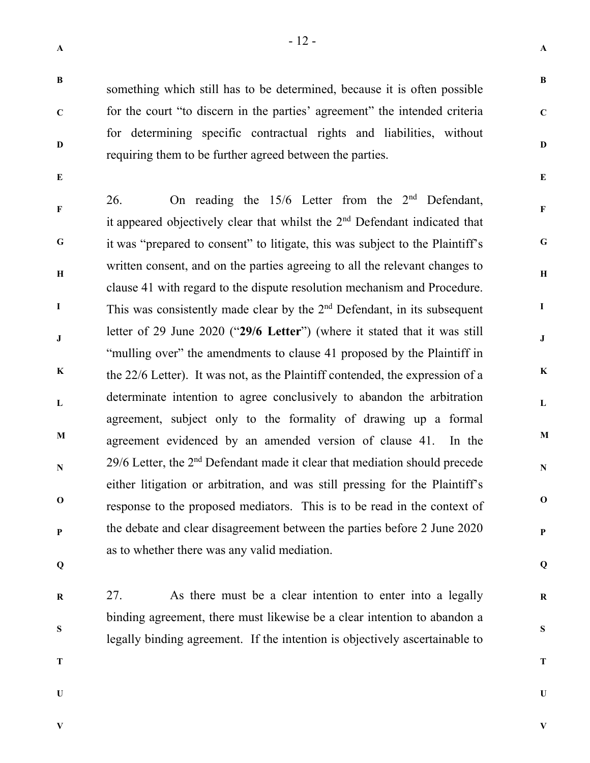something which still has to be determined, because it is often possible

for the court "to discern in the parties' agreement" the intended criteria

for determining specific contractual rights and liabilities, without

requiring them to be further agreed between the parties.

**A** 

**B** 

**C** 

**D** 

**E** 

**F** 

**G** 

**H** 

**I** 

**J** 

**K** 

**L** 

**M** 

**N** 

**O** 

**P** 

**Q** 

**R** 

**S** 

**T** 

**C** 

**D** 

**E** 

**F G H I J K L M N O P**  26. On reading the  $15/6$  Letter from the  $2<sup>nd</sup>$  Defendant, it appeared objectively clear that whilst the 2nd Defendant indicated that it was "prepared to consent" to litigate, this was subject to the Plaintiff's written consent, and on the parties agreeing to all the relevant changes to clause 41 with regard to the dispute resolution mechanism and Procedure. This was consistently made clear by the  $2<sup>nd</sup>$  Defendant, in its subsequent letter of 29 June 2020 ("**29/6 Letter**") (where it stated that it was still "mulling over" the amendments to clause 41 proposed by the Plaintiff in the 22/6 Letter). It was not, as the Plaintiff contended, the expression of a determinate intention to agree conclusively to abandon the arbitration agreement, subject only to the formality of drawing up a formal agreement evidenced by an amended version of clause 41. In the  $29/6$  Letter, the  $2<sup>nd</sup>$  Defendant made it clear that mediation should precede either litigation or arbitration, and was still pressing for the Plaintiff's response to the proposed mediators. This is to be read in the context of the debate and clear disagreement between the parties before 2 June 2020 as to whether there was any valid mediation.

27. As there must be a clear intention to enter into a legally

binding agreement, there must likewise be a clear intention to abandon a

legally binding agreement. If the intention is objectively ascertainable to

- **Q**
- **R**

**S** 

- **T**
- **U**

**V**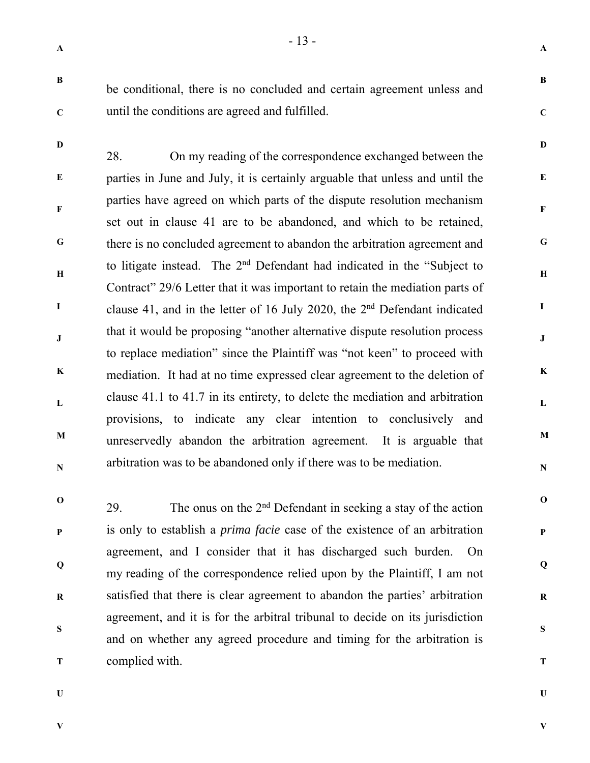**A** 

**B** 

**C** 

**D** 

**E** 

**F** 

**G** 

**H** 

**I** 

**J** 

**K** 

**L** 

**M** 

**N** 

**O** 

**P** 

**Q** 

**R** 

**S** 

**T** 

**U** 

**B** 

**C** 

**D** 

be conditional, there is no concluded and certain agreement unless and until the conditions are agreed and fulfilled.

**E F G H I J K L M N**  28. On my reading of the correspondence exchanged between the parties in June and July, it is certainly arguable that unless and until the parties have agreed on which parts of the dispute resolution mechanism set out in clause 41 are to be abandoned, and which to be retained, there is no concluded agreement to abandon the arbitration agreement and to litigate instead. The 2nd Defendant had indicated in the "Subject to Contract" 29/6 Letter that it was important to retain the mediation parts of clause 41, and in the letter of 16 July 2020, the 2nd Defendant indicated that it would be proposing "another alternative dispute resolution process to replace mediation" since the Plaintiff was "not keen" to proceed with mediation. It had at no time expressed clear agreement to the deletion of clause 41.1 to 41.7 in its entirety, to delete the mediation and arbitration provisions, to indicate any clear intention to conclusively and unreservedly abandon the arbitration agreement. It is arguable that arbitration was to be abandoned only if there was to be mediation.

**O P Q R S T**  29. The onus on the  $2<sup>nd</sup>$  Defendant in seeking a stay of the action is only to establish a *prima facie* case of the existence of an arbitration agreement, and I consider that it has discharged such burden. On my reading of the correspondence relied upon by the Plaintiff, I am not satisfied that there is clear agreement to abandon the parties' arbitration agreement, and it is for the arbitral tribunal to decide on its jurisdiction and on whether any agreed procedure and timing for the arbitration is complied with.

**U** 

**V**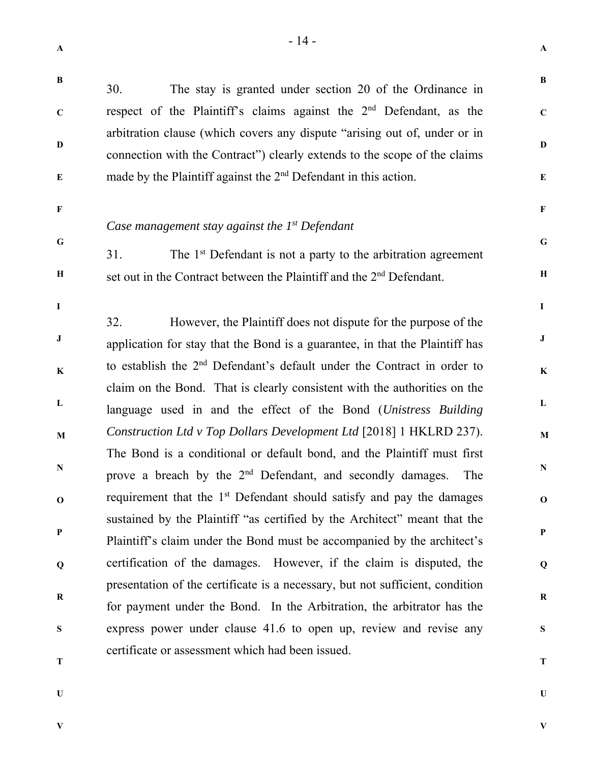**A** 

| $\, {\bf B}$   | The stay is granted under section 20 of the Ordinance in<br>30.                                                                                                                                                                       | $\bf{B}$       |  |
|----------------|---------------------------------------------------------------------------------------------------------------------------------------------------------------------------------------------------------------------------------------|----------------|--|
| $\mathbf C$    | respect of the Plaintiff's claims against the $2nd$ Defendant, as the                                                                                                                                                                 | $\mathbf C$    |  |
| D<br>${\bf E}$ | arbitration clause (which covers any dispute "arising out of, under or in<br>connection with the Contract") clearly extends to the scope of the claims<br>made by the Plaintiff against the 2 <sup>nd</sup> Defendant in this action. | D<br>${\bf E}$ |  |
|                |                                                                                                                                                                                                                                       |                |  |
| $\mathbf F$    | Case management stay against the $1^{st}$ Defendant                                                                                                                                                                                   | $\mathbf F$    |  |
| $\mathbf G$    | 31.<br>The 1 <sup>st</sup> Defendant is not a party to the arbitration agreement                                                                                                                                                      | $\mathbf G$    |  |
| $\, {\bf H}$   | set out in the Contract between the Plaintiff and the 2 <sup>nd</sup> Defendant.                                                                                                                                                      | $\mathbf H$    |  |
|                |                                                                                                                                                                                                                                       |                |  |
| $\bf I$        |                                                                                                                                                                                                                                       | $\mathbf I$    |  |
| ${\bf J}$      | However, the Plaintiff does not dispute for the purpose of the<br>32.<br>application for stay that the Bond is a guarantee, in that the Plaintiff has                                                                                 | $\bf J$        |  |
| $\bf K$        | to establish the 2 <sup>nd</sup> Defendant's default under the Contract in order to                                                                                                                                                   | $\mathbf K$    |  |
|                | claim on the Bond. That is clearly consistent with the authorities on the                                                                                                                                                             |                |  |
| $\mathbf L$    | language used in and the effect of the Bond (Unistress Building                                                                                                                                                                       | $\mathbf{L}$   |  |
| M              | Construction Ltd v Top Dollars Development Ltd [2018] 1 HKLRD 237).                                                                                                                                                                   | $\mathbf M$    |  |
| $\mathbf N$    | The Bond is a conditional or default bond, and the Plaintiff must first<br>prove a breach by the 2 <sup>nd</sup> Defendant, and secondly damages.<br>The                                                                              | ${\bf N}$      |  |
| $\mathbf 0$    | requirement that the 1 <sup>st</sup> Defendant should satisfy and pay the damages                                                                                                                                                     | $\mathbf 0$    |  |
|                | sustained by the Plaintiff "as certified by the Architect" meant that the                                                                                                                                                             |                |  |
| $\mathbf{P}$   | Plaintiff's claim under the Bond must be accompanied by the architect's                                                                                                                                                               | ${\bf P}$      |  |
| Q              | certification of the damages. However, if the claim is disputed, the                                                                                                                                                                  | Q              |  |
|                | presentation of the certificate is a necessary, but not sufficient, condition                                                                                                                                                         |                |  |
| R              | for payment under the Bond. In the Arbitration, the arbitrator has the                                                                                                                                                                | $\bf R$        |  |
| S              | express power under clause 41.6 to open up, review and revise any                                                                                                                                                                     | S              |  |
| T              | certificate or assessment which had been issued.                                                                                                                                                                                      | T              |  |

**U** 

**V**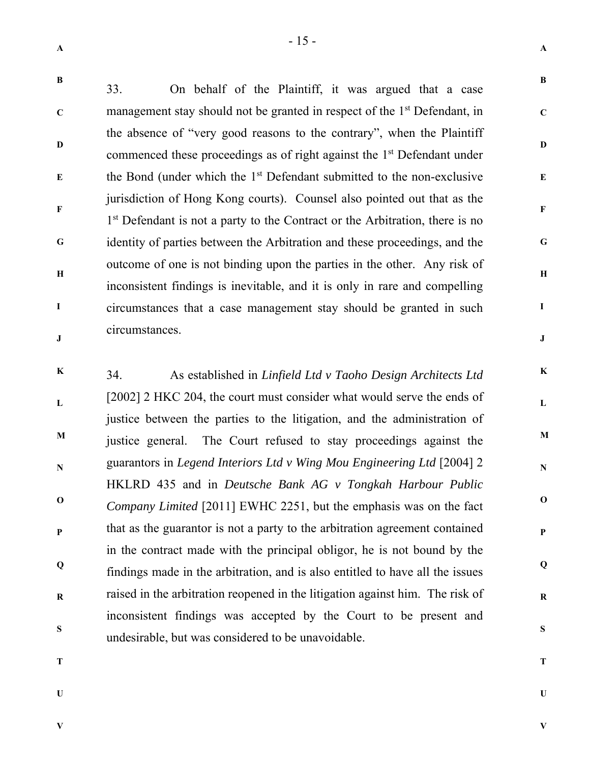**C** 

**D** 

**E** 

**F** 

**G** 

**H** 

**I** 

**J** 

**A** 

**B** 

**C** 

**D** 

**E** 

**F** 

**G** 

**H** 

**I** 

**J** 

**K** 

**L** 

**M** 

**N** 

**O** 

**P** 

**Q** 

**R** 

**S** 

33. On behalf of the Plaintiff, it was argued that a case management stay should not be granted in respect of the  $1<sup>st</sup>$  Defendant, in the absence of "very good reasons to the contrary", when the Plaintiff commenced these proceedings as of right against the 1<sup>st</sup> Defendant under the Bond (under which the 1st Defendant submitted to the non-exclusive jurisdiction of Hong Kong courts). Counsel also pointed out that as the 1<sup>st</sup> Defendant is not a party to the Contract or the Arbitration, there is no identity of parties between the Arbitration and these proceedings, and the outcome of one is not binding upon the parties in the other. Any risk of inconsistent findings is inevitable, and it is only in rare and compelling circumstances that a case management stay should be granted in such circumstances.

**K L M N O P Q R S**  34. As established in *Linfield Ltd v Taoho Design Architects Ltd* [2002] 2 HKC 204, the court must consider what would serve the ends of justice between the parties to the litigation, and the administration of justice general. The Court refused to stay proceedings against the guarantors in *Legend Interiors Ltd v Wing Mou Engineering Ltd* [2004] 2 HKLRD 435 and in *Deutsche Bank AG v Tongkah Harbour Public Company Limited* [2011] EWHC 2251, but the emphasis was on the fact that as the guarantor is not a party to the arbitration agreement contained in the contract made with the principal obligor, he is not bound by the findings made in the arbitration, and is also entitled to have all the issues raised in the arbitration reopened in the litigation against him. The risk of inconsistent findings was accepted by the Court to be present and undesirable, but was considered to be unavoidable.

**T** 

**U** 

**T** 

**U** 

**V**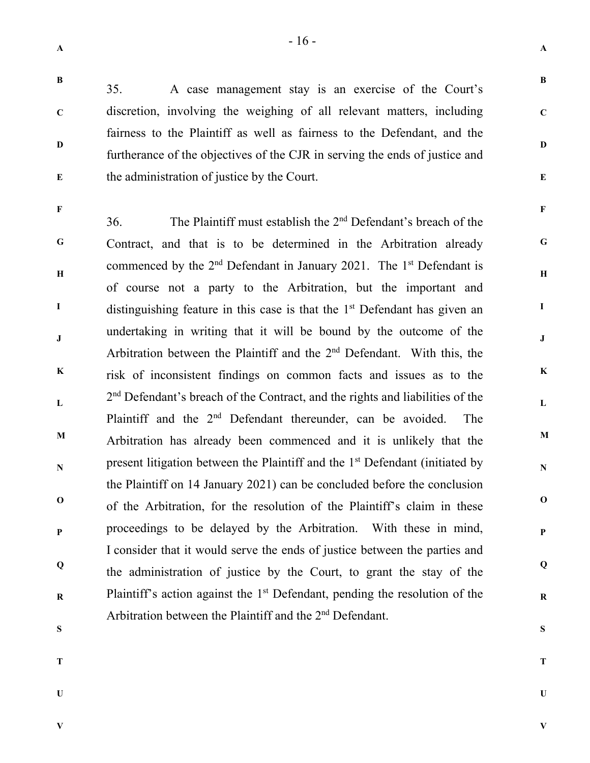**A** 

**B** 

**C** 

**D** 

**E** 

**F** 

**G** 

**H** 

**I** 

**J** 

**K** 

**L** 

**M** 

**N** 

**O** 

**P** 

**Q** 

**R** 

**S** 

**B** 

**C** 

**D** 

**E** 

35. A case management stay is an exercise of the Court's discretion, involving the weighing of all relevant matters, including fairness to the Plaintiff as well as fairness to the Defendant, and the furtherance of the objectives of the CJR in serving the ends of justice and the administration of justice by the Court.

**F G H I J K L M N O P Q R**  36. The Plaintiff must establish the 2nd Defendant's breach of the Contract, and that is to be determined in the Arbitration already commenced by the 2<sup>nd</sup> Defendant in January 2021. The 1<sup>st</sup> Defendant is of course not a party to the Arbitration, but the important and distinguishing feature in this case is that the  $1<sup>st</sup>$  Defendant has given an undertaking in writing that it will be bound by the outcome of the Arbitration between the Plaintiff and the 2nd Defendant. With this, the risk of inconsistent findings on common facts and issues as to the 2<sup>nd</sup> Defendant's breach of the Contract, and the rights and liabilities of the Plaintiff and the  $2<sup>nd</sup>$  Defendant thereunder, can be avoided. The Arbitration has already been commenced and it is unlikely that the present litigation between the Plaintiff and the 1<sup>st</sup> Defendant (initiated by the Plaintiff on 14 January 2021) can be concluded before the conclusion of the Arbitration, for the resolution of the Plaintiff's claim in these proceedings to be delayed by the Arbitration. With these in mind, I consider that it would serve the ends of justice between the parties and the administration of justice by the Court, to grant the stay of the Plaintiff's action against the  $1<sup>st</sup>$  Defendant, pending the resolution of the Arbitration between the Plaintiff and the 2<sup>nd</sup> Defendant.

- **S**
- **T**

**U** 

**T**